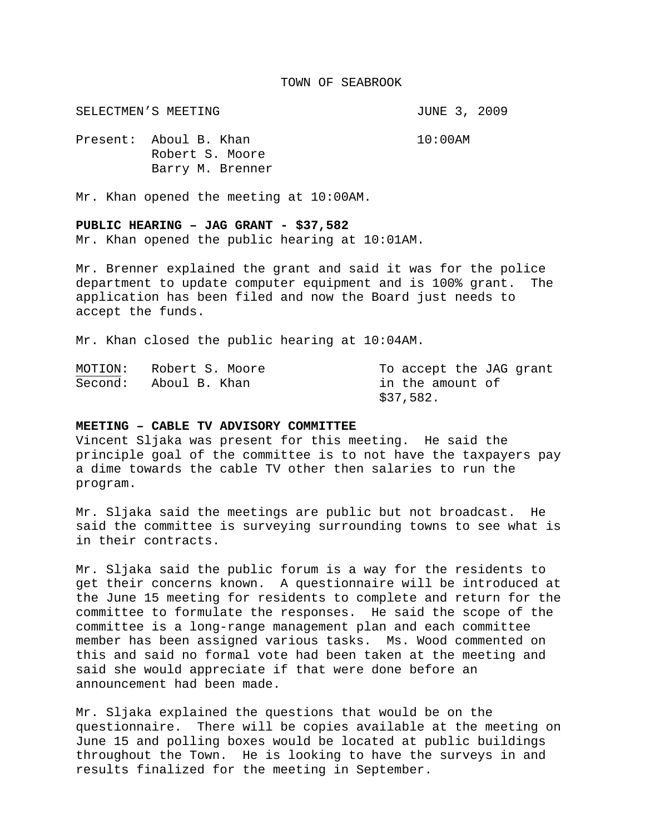#### TOWN OF SEABROOK

SELECTMEN'S MEETING **SELECTMEN'S** SELECTMEN'S

Present: Aboul B. Khan 10:00AM Robert S. Moore Barry M. Brenner

Mr. Khan opened the meeting at 10:00AM.

## **PUBLIC HEARING – JAG GRANT - \$37,582**

Mr. Khan opened the public hearing at 10:01AM.

Mr. Brenner explained the grant and said it was for the police department to update computer equipment and is 100% grant. The application has been filed and now the Board just needs to accept the funds.

Mr. Khan closed the public hearing at 10:04AM.

| MOTION: | Robert S. Moore | To accept the JAG grant |
|---------|-----------------|-------------------------|
| Second: | Aboul B. Khan   | in the amount of        |
|         |                 | \$37,582.               |

#### **MEETING – CABLE TV ADVISORY COMMITTEE**

Vincent Sljaka was present for this meeting. He said the principle goal of the committee is to not have the taxpayers pay a dime towards the cable TV other then salaries to run the program.

Mr. Sljaka said the meetings are public but not broadcast. He said the committee is surveying surrounding towns to see what is in their contracts.

Mr. Sljaka said the public forum is a way for the residents to get their concerns known. A questionnaire will be introduced at the June 15 meeting for residents to complete and return for the committee to formulate the responses. He said the scope of the committee is a long-range management plan and each committee member has been assigned various tasks. Ms. Wood commented on this and said no formal vote had been taken at the meeting and said she would appreciate if that were done before an announcement had been made.

Mr. Sljaka explained the questions that would be on the questionnaire. There will be copies available at the meeting on June 15 and polling boxes would be located at public buildings throughout the Town. He is looking to have the surveys in and results finalized for the meeting in September.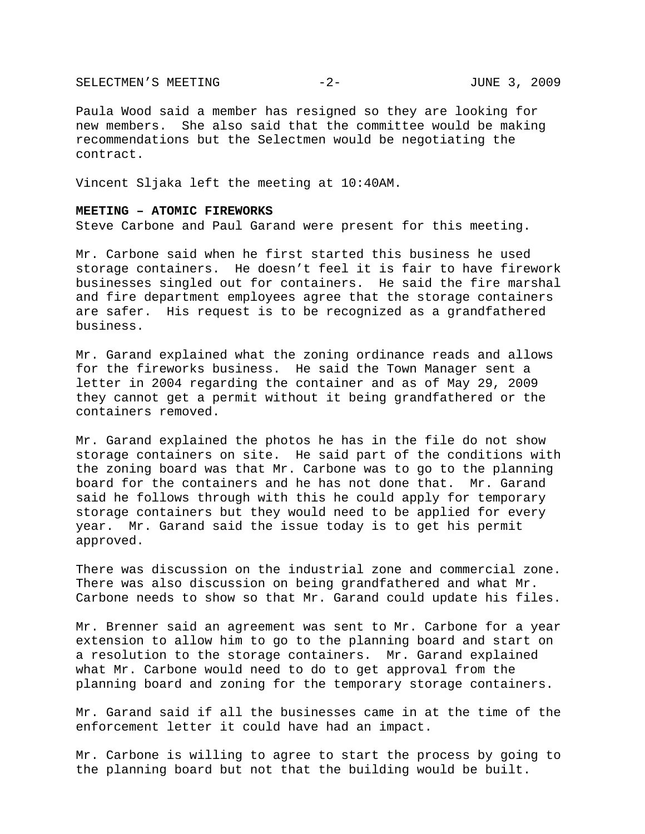SELECTMEN'S MEETING -2- JUNE 3, 2009

Paula Wood said a member has resigned so they are looking for new members. She also said that the committee would be making recommendations but the Selectmen would be negotiating the contract.

Vincent Sljaka left the meeting at 10:40AM.

## **MEETING – ATOMIC FIREWORKS**

Steve Carbone and Paul Garand were present for this meeting.

Mr. Carbone said when he first started this business he used storage containers. He doesn't feel it is fair to have firework businesses singled out for containers. He said the fire marshal and fire department employees agree that the storage containers are safer. His request is to be recognized as a grandfathered business.

Mr. Garand explained what the zoning ordinance reads and allows for the fireworks business. He said the Town Manager sent a letter in 2004 regarding the container and as of May 29, 2009 they cannot get a permit without it being grandfathered or the containers removed.

Mr. Garand explained the photos he has in the file do not show storage containers on site. He said part of the conditions with the zoning board was that Mr. Carbone was to go to the planning board for the containers and he has not done that. Mr. Garand said he follows through with this he could apply for temporary storage containers but they would need to be applied for every year. Mr. Garand said the issue today is to get his permit approved.

There was discussion on the industrial zone and commercial zone. There was also discussion on being grandfathered and what Mr. Carbone needs to show so that Mr. Garand could update his files.

Mr. Brenner said an agreement was sent to Mr. Carbone for a year extension to allow him to go to the planning board and start on a resolution to the storage containers. Mr. Garand explained what Mr. Carbone would need to do to get approval from the planning board and zoning for the temporary storage containers.

Mr. Garand said if all the businesses came in at the time of the enforcement letter it could have had an impact.

Mr. Carbone is willing to agree to start the process by going to the planning board but not that the building would be built.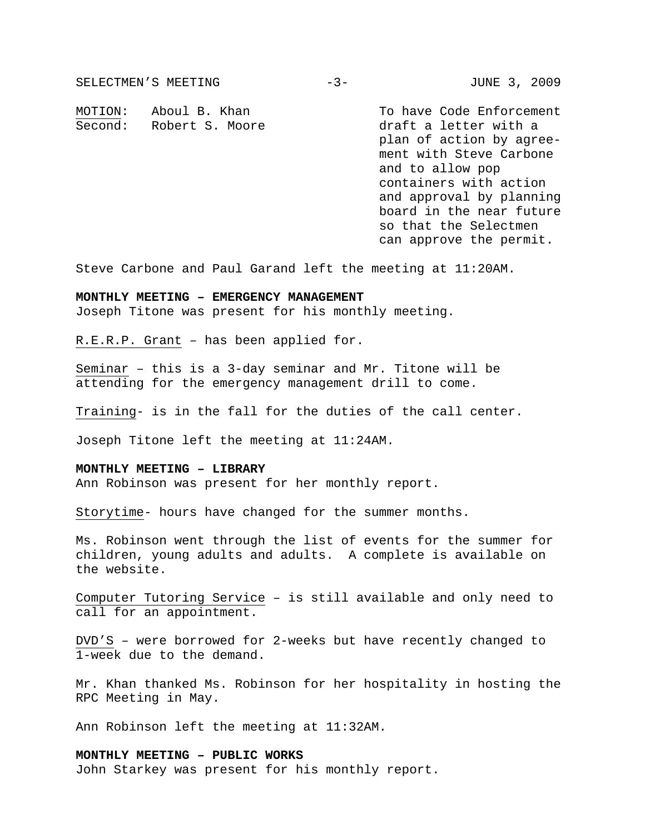SELECTMEN'S MEETING -3- JUNE 3, 2009 MOTION: Aboul B. Khan To have Code Enforcement Second: Robert S. Moore ... ... draft a letter with a plan of action by agree ment with Steve Carbone and to allow pop containers with action and approval by planning board in the near future so that the Selectmen can approve the permit.

Steve Carbone and Paul Garand left the meeting at 11:20AM.

# **MONTHLY MEETING – EMERGENCY MANAGEMENT**

Joseph Titone was present for his monthly meeting.

R.E.R.P. Grant – has been applied for.

Seminar – this is a 3-day seminar and Mr. Titone will be attending for the emergency management drill to come.

Training- is in the fall for the duties of the call center.

Joseph Titone left the meeting at 11:24AM.

## **MONTHLY MEETING – LIBRARY**

Ann Robinson was present for her monthly report.

Storytime- hours have changed for the summer months.

Ms. Robinson went through the list of events for the summer for children, young adults and adults. A complete is available on the website.

Computer Tutoring Service – is still available and only need to call for an appointment.

DVD'S – were borrowed for 2-weeks but have recently changed to 1-week due to the demand.

Mr. Khan thanked Ms. Robinson for her hospitality in hosting the RPC Meeting in May.

Ann Robinson left the meeting at 11:32AM.

## **MONTHLY MEETING – PUBLIC WORKS**

John Starkey was present for his monthly report.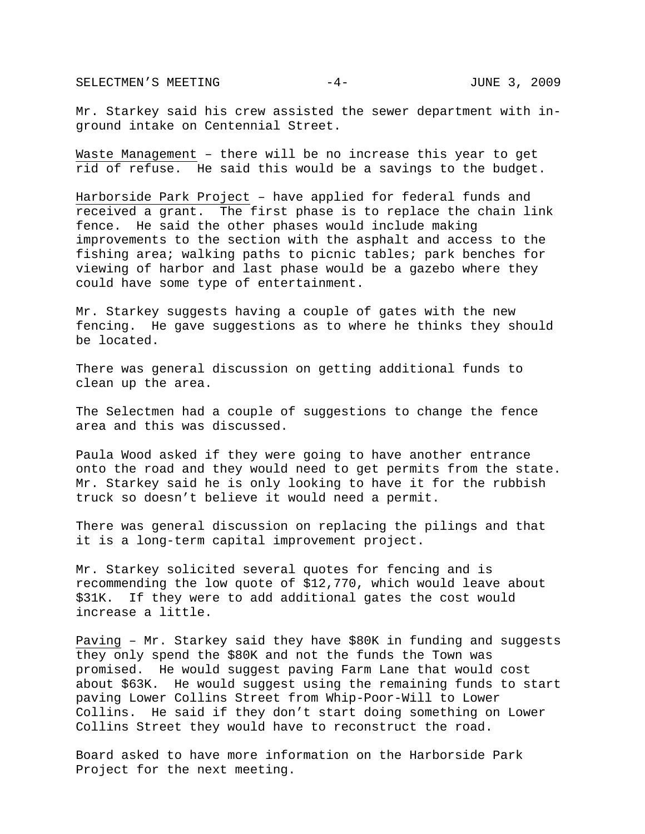SELECTMEN'S MEETING  $-4 -$  JUNE 3, 2009

Mr. Starkey said his crew assisted the sewer department with inground intake on Centennial Street.

Waste Management – there will be no increase this year to get rid of refuse. He said this would be a savings to the budget.

Harborside Park Project – have applied for federal funds and received a grant. The first phase is to replace the chain link fence. He said the other phases would include making improvements to the section with the asphalt and access to the fishing area; walking paths to picnic tables; park benches for viewing of harbor and last phase would be a gazebo where they could have some type of entertainment.

Mr. Starkey suggests having a couple of gates with the new fencing. He gave suggestions as to where he thinks they should be located.

There was general discussion on getting additional funds to clean up the area.

The Selectmen had a couple of suggestions to change the fence area and this was discussed.

Paula Wood asked if they were going to have another entrance onto the road and they would need to get permits from the state. Mr. Starkey said he is only looking to have it for the rubbish truck so doesn't believe it would need a permit.

There was general discussion on replacing the pilings and that it is a long-term capital improvement project.

Mr. Starkey solicited several quotes for fencing and is recommending the low quote of \$12,770, which would leave about \$31K. If they were to add additional gates the cost would increase a little.

Paving – Mr. Starkey said they have \$80K in funding and suggests they only spend the \$80K and not the funds the Town was promised. He would suggest paving Farm Lane that would cost about \$63K. He would suggest using the remaining funds to start paving Lower Collins Street from Whip-Poor-Will to Lower Collins. He said if they don't start doing something on Lower Collins Street they would have to reconstruct the road.

Board asked to have more information on the Harborside Park Project for the next meeting.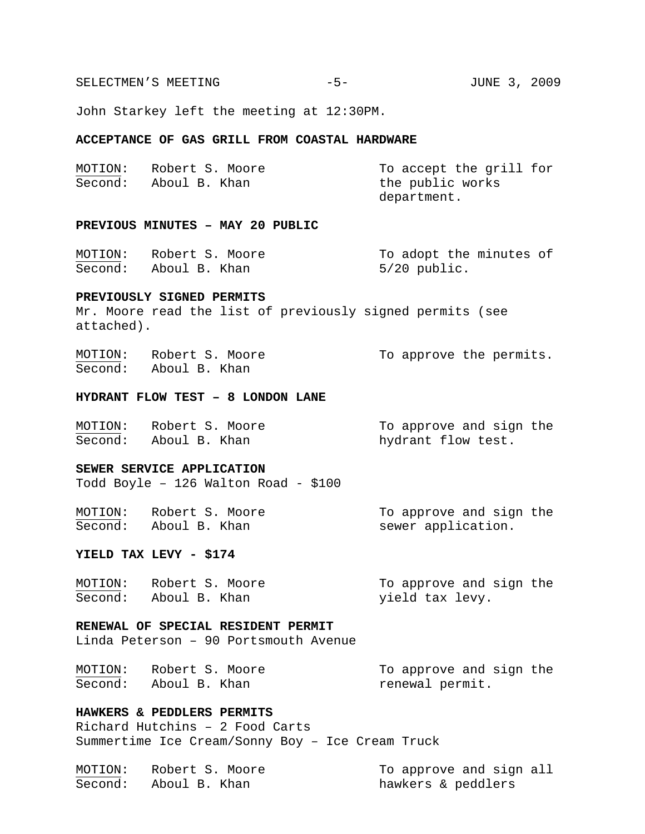SELECTMEN'S MEETING -5- CONSTRUCTION -5- JUNE 3, 2009

John Starkey left the meeting at 12:30PM.

## **ACCEPTANCE OF GAS GRILL FROM COASTAL HARDWARE**

| MOTION: | Robert S. Moore | To accept the grill for |
|---------|-----------------|-------------------------|
| Second: | Aboul B. Khan   | the public works        |
|         |                 | department.             |

## **PREVIOUS MINUTES – MAY 20 PUBLIC**

| MOTION: | Robert S. Moore       | To adopt the minutes of |
|---------|-----------------------|-------------------------|
|         | Second: Aboul B. Khan | $5/20$ public.          |

#### **PREVIOUSLY SIGNED PERMITS**

Mr. Moore read the list of previously signed permits (see attached).

MOTION: Robert S. Moore To approve the permits. Second: Aboul B. Khan

#### **HYDRANT FLOW TEST – 8 LONDON LANE**

| MOTION: | Robert S. Moore       | To approve and sign the |
|---------|-----------------------|-------------------------|
|         | Second: Aboul B. Khan | hydrant flow test.      |

## **SEWER SERVICE APPLICATION**

Todd Boyle – 126 Walton Road - \$100

MOTION: Robert S. Moore To approve and sign the Second: Aboul B. Khan sewer application.

## **YIELD TAX LEVY - \$174**

| MOTION: | Robert S. Moore       | To approve and sign the |
|---------|-----------------------|-------------------------|
|         | Second: Aboul B. Khan | yield tax levy.         |

## **RENEWAL OF SPECIAL RESIDENT PERMIT**

Linda Peterson – 90 Portsmouth Avenue

MOTION: Robert S. Moore To approve and sign the Second: Aboul B. Khan renewal permit.

## **HAWKERS & PEDDLERS PERMITS**

Richard Hutchins – 2 Food Carts Summertime Ice Cream/Sonny Boy – Ice Cream Truck

| MOTION: | Robert S. Moore | To approve and sign all |
|---------|-----------------|-------------------------|
| Second: | Aboul B. Khan   | hawkers & peddlers      |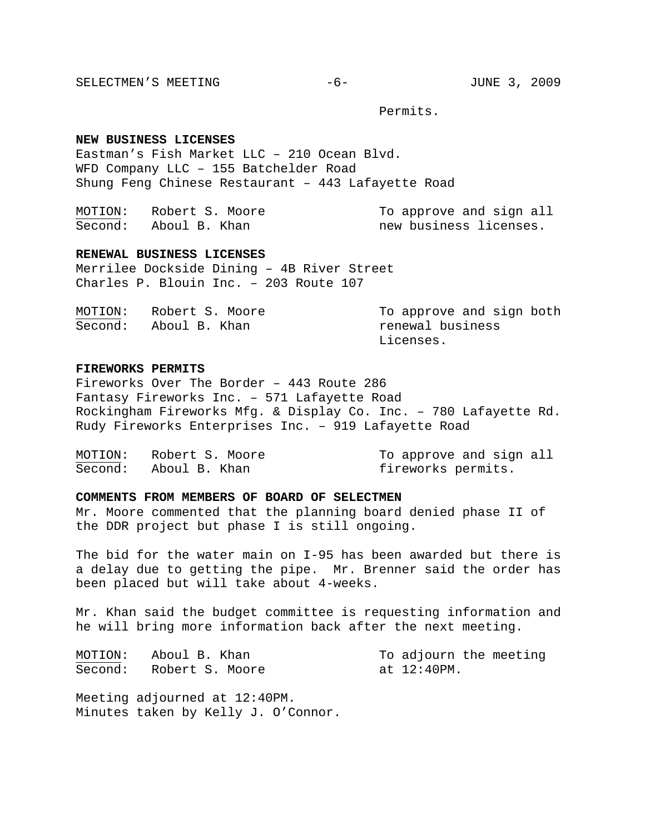SELECTMEN'S MEETING -6- JUNE 3, 2009

Permits.

#### **NEW BUSINESS LICENSES**

Eastman's Fish Market LLC – 210 Ocean Blvd. WFD Company LLC – 155 Batchelder Road Shung Feng Chinese Restaurant – 443 Lafayette Road

| MOTION: | Robert S. Moore       | To approve and sign all |
|---------|-----------------------|-------------------------|
|         | Second: Aboul B. Khan | new business licenses.  |

#### **RENEWAL BUSINESS LICENSES**

Merrilee Dockside Dining – 4B River Street Charles P. Blouin Inc. – 203 Route 107

| MOTION: | Robert S. Moore | To approve and sign both |
|---------|-----------------|--------------------------|
| Second: | Aboul B. Khan   | renewal business         |
|         |                 | Licenses.                |

#### **FIREWORKS PERMITS**

Fireworks Over The Border – 443 Route 286 Fantasy Fireworks Inc. – 571 Lafayette Road Rockingham Fireworks Mfg. & Display Co. Inc. – 780 Lafayette Rd. Rudy Fireworks Enterprises Inc. – 919 Lafayette Road

| MOTION: | Robert S. Moore       | To approve and sign all |
|---------|-----------------------|-------------------------|
|         | Second: Aboul B. Khan | fireworks permits.      |

## **COMMENTS FROM MEMBERS OF BOARD OF SELECTMEN**

Mr. Moore commented that the planning board denied phase II of the DDR project but phase I is still ongoing.

The bid for the water main on I-95 has been awarded but there is a delay due to getting the pipe. Mr. Brenner said the order has been placed but will take about 4-weeks.

Mr. Khan said the budget committee is requesting information and he will bring more information back after the next meeting.

MOTION: Aboul B. Khan To adjourn the meeting Second: Robert S. Moore at 12:40PM.

Meeting adjourned at 12:40PM. Minutes taken by Kelly J. O'Connor.